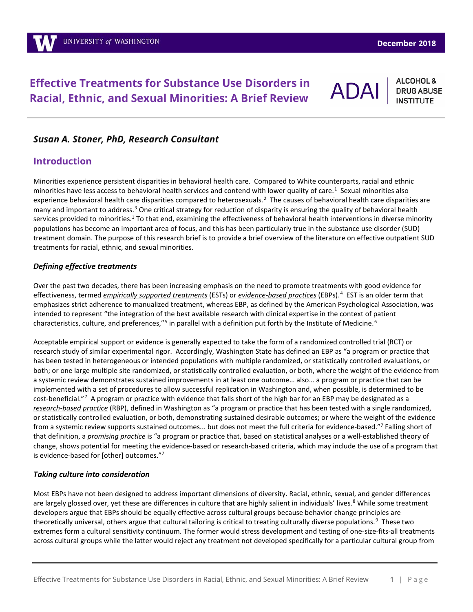# **Effective Treatments for Substance Use Disorders in Racial, Ethnic, and Sexual Minorities: A Brief Review**

<span id="page-0-0"></span>**ADA** 

**ALCOHOL & DRUG ABUSE** 

### *Susan A. Stoner, PhD, Research Consultant*

### **Introduction**

Minorities experience persistent disparities in behavioral health care. Compared to White counterparts, racial and ethnic minorities have less access to behavioral health services and contend with lower quality of care.<sup>[1](#page-9-0)</sup> Sexual minorities also experience behavioral health care disparities compared to heterosexuals.<sup>[2](#page-9-1)</sup> The causes of behavioral health care disparities are many and important to address.[3](#page-9-2) One critical strategy for reduction of disparity is ensuring the quality of behavioral health services provided to minorities.<sup>1</sup> To that end, examining the effectiveness of behavioral health interventions in diverse minority populations has become an important area of focus, and this has been particularly true in the substance use disorder (SUD) treatment domain. The purpose of this research brief is to provide a brief overview of the literature on effective outpatient SUD treatments for racial, ethnic, and sexual minorities.

#### *Defining effective treatments*

Over the past two decades, there has been increasing emphasis on the need to promote treatments with good evidence for effectiveness, termed *empirically supported treatments* (ESTs) or *evidence-based practices* (EBPs).[4](#page-9-3) EST is an older term that emphasizes strict adherence to manualized treatment, whereas EBP, as defined by the American Psychological Association, was intended to represent "the integration of the best available research with clinical expertise in the context of patient characteristics, culture, and preferences,"<sup>[5](#page-9-4)</sup> in parallel with a definition put forth by the Institute of Medicine.<sup>[6](#page-9-5)</sup>

<span id="page-0-1"></span>Acceptable empirical support or evidence is generally expected to take the form of a randomized controlled trial (RCT) or research study of similar experimental rigor. Accordingly, Washington State has defined an EBP as "a program or practice that has been tested in heterogeneous or intended populations with multiple randomized, or statistically controlled evaluations, or both; or one large multiple site randomized, or statistically controlled evaluation, or both, where the weight of the evidence from a systemic review demonstrates sustained improvements in at least one outcome… also… a program or practice that can be implemented with a set of procedures to allow successful replication in Washington and, when possible, is determined to be cost-beneficial."<sup>[7](#page-9-6)</sup> A program or practice with evidence that falls short of the high bar for an EBP may be designated as a *research-based practice* (RBP), defined in Washington as "a program or practice that has been tested with a single randomized, or statistically controlled evaluation, or both, demonstrating sustained desirable outcomes; or where the weight of the evidence from a systemic review supports sustained outcomes... but does not meet the full criteria for evidence-based."<sup>7</sup> Falling short of that definition, a *promising practice* is "a program or practice that, based on statistical analyses or a well-established theory of change, shows potential for meeting the evidence-based or research-based criteria, which may include the use of a program that is evidence-based for [other] outcomes.["7](#page-0-1)

#### *Taking culture into consideration*

<span id="page-0-3"></span><span id="page-0-2"></span>Most EBPs have not been designed to address important dimensions of diversity. Racial, ethnic, sexual, and gender differences are largely glossed over, yet these are differences in culture that are highly salient in individuals' lives.<sup>[8](#page-9-7)</sup> While some treatment developers argue that EBPs should be equally effective across cultural groups because behavior change principles are theoretically universal, others argue that cultural tailoring is critical to treating culturally diverse populations.<sup>[9](#page-9-8)</sup> These two extremes form a cultural sensitivity continuum. The former would stress development and testing of one-size-fits-all treatments across cultural groups while the latter would reject any treatment not developed specifically for a particular cultural group from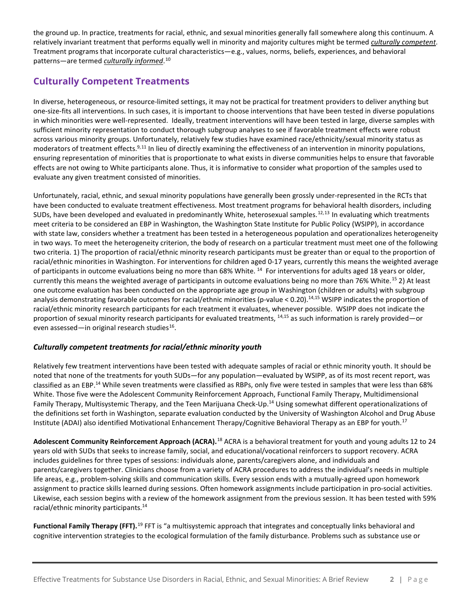the ground up. In practice, treatments for racial, ethnic, and sexual minorities generally fall somewhere along this continuum. A relatively invariant treatment that performs equally well in minority and majority cultures might be termed *culturally competent*. Treatment programs that incorporate cultural characteristics—e.g., values, norms, beliefs, experiences, and behavioral patterns—are termed *culturally informed*. [10](#page-10-0) 

## <span id="page-1-6"></span>**Culturally Competent Treatments**

<span id="page-1-5"></span>In diverse, heterogeneous, or resource-limited settings, it may not be practical for treatment providers to deliver anything but one-size-fits all interventions. In such cases, it is important to choose interventions that have been tested in diverse populations in which minorities were well-represented. Ideally, treatment interventions will have been tested in large, diverse samples with sufficient minority representation to conduct thorough subgroup analyses to see if favorable treatment effects were robust across various minority groups. Unfortunately, relatively few studies have examined race/ethnicity/sexual minority status as moderators of treatment effects.<sup>9,[11](#page-10-1)</sup> In lieu of directly examining the effectiveness of an intervention in minority populations, ensuring representation of minorities that is proportionate to what exists in diverse communities helps to ensure that favorable effects are not owing to White participants alone. Thus, it is informative to consider what proportion of the samples used to evaluate any given treatment consisted of minorities.

<span id="page-1-2"></span><span id="page-1-0"></span>Unfortunately, racial, ethnic, and sexual minority populations have generally been grossly under-represented in the RCTs that have been conducted to evaluate treatment effectiveness. Most treatment programs for behavioral health disorders, including SUDs, have been developed and evaluated in predominantly White, heterosexual samples.<sup>[12](#page-10-2),13</sup> In evaluating which treatments meet criteria to be considered an EBP in Washington, the Washington State Institute for Public Policy (WSIPP), in accordance with state law, considers whether a treatment has been tested in a heterogeneous population and operationalizes heterogeneity in two ways. To meet the heterogeneity criterion, the body of research on a particular treatment must meet one of the following two criteria. 1) The proportion of racial/ethnic minority research participants must be greater than or equal to the proportion of racial/ethnic minorities in Washington. For interventions for children aged 0-17 years, currently this means the weighted average of participants in outcome evaluations being no more than 68% White.  $^{14}$  $^{14}$  $^{14}$  For interventions for adults aged 18 years or older, currently this means the weighted average of participants in outcome evaluations being no more than 76% White.<sup>[15](#page-10-5)</sup> 2) At least one outcome evaluation has been conducted on the appropriate age group in Washington (children or adults) with subgroup analysis demonstrating favorable outcomes for racial/ethnic minorities (p-value < 0.20).<sup>14,[15](#page-1-1)</sup> WSIPP indicates the proportion of racial/ethnic minority research participants for each treatment it evaluates, whenever possible. WSIPP does not indicate the proportion of sexual minority research participants for evaluated treatments, [14,](#page-1-0)[15](#page-1-1) as such information is rarely provided—or even assessed—in original research studies<sup>16</sup>.

### <span id="page-1-4"></span><span id="page-1-1"></span>*Culturally competent treatments for racial/ethnic minority youth*

Relatively few treatment interventions have been tested with adequate samples of racial or ethnic minority youth. It should be noted that none of the treatments for youth SUDs—for any population—evaluated by WSIPP, as of its most recent report, was classified as an EBP.<sup>[14](#page-1-2)</sup> While seven treatments were classified as RBPs, only five were tested in samples that were less than 68% White. Those five were the Adolescent Community Reinforcement Approach, Functional Family Therapy, Multidimensional Family Therapy, Multisystemic Therapy, and the Teen Marijuana Check-Up[.14](#page-1-2) Using somewhat different operationalizations of the definitions set forth in Washington, separate evaluation conducted by the University of Washington Alcohol and Drug Abuse Institute (ADAI) also identified Motivational Enhancement Therapy/Cognitive Behavioral Therapy as an EBP for youth.<sup>[17](#page-10-7)</sup>

<span id="page-1-3"></span>Adolescent Community Reinforcement Approach (ACRA).<sup>[18](#page-10-8)</sup> ACRA is a behavioral treatment for youth and young adults 12 to 24 years old with SUDs that seeks to increase family, social, and educational/vocational reinforcers to support recovery. ACRA includes guidelines for three types of sessions: individuals alone, parents/caregivers alone, and individuals and parents/caregivers together. Clinicians choose from a variety of ACRA procedures to address the individual's needs in multiple life areas, e.g., problem-solving skills and communication skills. Every session ends with a mutually-agreed upon homework assignment to practice skills learned during sessions. Often homework assignments include participation in pro-social activities. Likewise, each session begins with a review of the homework assignment from the previous session. It has been tested with 59% racial/ethnic minority participants. [14](#page-1-2)

**Functional Family Therapy (FFT).**<sup>[19](#page-10-9)</sup> FFT is "a multisystemic approach that integrates and conceptually links behavioral and cognitive intervention strategies to the ecological formulation of the family disturbance. Problems such as substance use or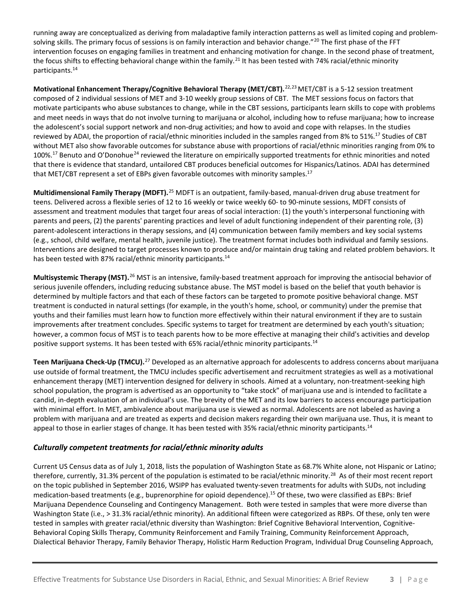running away are conceptualized as deriving from maladaptive family interaction patterns as well as limited coping and problem-solving skills. The primary focus of sessions is on family interaction and behavior change."<sup>[20](#page-11-0)</sup> The first phase of the FFT intervention focuses on engaging families in treatment and enhancing motivation for change. In the second phase of treatment, the focus shifts to effecting behavioral change within the family.<sup>[21](#page-11-1)</sup> It has been tested with 74% racial/ethnic minority participants[.14](#page-1-2)

**Motivational Enhancement Therapy/Cognitive Behavioral Therapy (MET/CBT).**[22,](#page-11-2)[23](#page-11-3)MET/CBT is a 5-12 session treatment composed of 2 individual sessions of MET and 3-10 weekly group sessions of CBT. The MET sessions focus on factors that motivate participants who abuse substances to change, while in the CBT sessions, participants learn skills to cope with problems and meet needs in ways that do not involve turning to marijuana or alcohol, including how to refuse marijuana; how to increase the adolescent's social support network and non-drug activities; and how to avoid and cope with relapses. In the studies reviewed by ADAI, the proportion of racial/ethnic minorities included in the samples ranged from 8% to 51%.<sup>17</sup> Studies of CBT without MET also show favorable outcomes for substance abuse with proportions of racial/ethnic minorities ranging from 0% to 100%[.17](#page-1-3) Benuto and O'Donohue[24](#page-11-4) reviewed the literature on empirically supported treatments for ethnic minorities and noted that there is evidence that standard, untailored CBT produces beneficial outcomes for Hispanics/Latinos. ADAI has determined that MET/CBT represent a set of EBPs given favorable outcomes with minority samples.<sup>17</sup>

<span id="page-2-0"></span>**Multidimensional Family Therapy (MDFT).**[25](#page-11-5) MDFT is an outpatient, family-based, manual-driven drug abuse treatment for teens. Delivered across a flexible series of 12 to 16 weekly or twice weekly 60- to 90-minute sessions, MDFT consists of assessment and treatment modules that target four areas of social interaction: (1) the youth's interpersonal functioning with parents and peers, (2) the parents' parenting practices and level of adult functioning independent of their parenting role, (3) parent-adolescent interactions in therapy sessions, and (4) communication between family members and key social systems (e.g., school, child welfare, mental health, juvenile justice). The treatment format includes both individual and family sessions. Interventions are designed to target processes known to produce and/or maintain drug taking and related problem behaviors. It has been tested with 87% racial/ethnic minority participants.<sup>14</sup>

**Multisystemic Therapy (MST).**[26](#page-11-6) MST is an intensive, family-based treatment approach for improving the antisocial behavior of serious juvenile offenders, including reducing substance abuse. The MST model is based on the belief that youth behavior is determined by multiple factors and that each of these factors can be targeted to promote positive behavioral change. MST treatment is conducted in natural settings (for example, in the youth's home, school, or community) under the premise that youths and their families must learn how to function more effectively within their natural environment if they are to sustain improvements after treatment concludes. Specific systems to target for treatment are determined by each youth's situation; however, a common focus of MST is to teach parents how to be more effective at managing their child's activities and develop positive support systems. It has been tested with 65% racial/ethnic minority participants.<sup>14</sup>

**Teen Marijuana Check-Up (TMCU).**[27](#page-11-7) Developed as an alternative approach for adolescents to address concerns about marijuana use outside of formal treatment, the TMCU includes specific advertisement and recruitment strategies as well as a motivational enhancement therapy (MET) intervention designed for delivery in schools. Aimed at a voluntary, non-treatment-seeking high school population, the program is advertised as an opportunity to "take stock" of marijuana use and is intended to facilitate a candid, in-depth evaluation of an individual's use. The brevity of the MET and its low barriers to access encourage participation with minimal effort. In MET, ambivalence about marijuana use is viewed as normal. Adolescents are not labeled as having a problem with marijuana and are treated as experts and decision makers regarding their own marijuana use. Thus, it is meant to appeal to those in earlier stages of change. It has been tested with 35% racial/ethnic minority participants.<sup>14</sup>

#### *Culturally competent treatments for racial/ethnic minority adults*

Current US Census data as of July 1, 2018, lists the population of Washington State as 68.7% White alone, not Hispanic or Latino; therefore, currently, 31.3% percent of the population is estimated to be racial/ethnic minority.<sup>28</sup> As of their most recent report on the topic published in September 2016, WSIPP has evaluated twenty-seven treatments for adults with SUDs, not including medication-based treatments (e.g., buprenorphine for opioid dependence). [15](#page-1-1) Of these, two were classified as EBPs: Brief Marijuana Dependence Counseling and Contingency Management. Both were tested in samples that were more diverse than Washington State (i.e., > 31.3% racial/ethnic minority). An additional fifteen were categorized as RBPs. Of these, only ten were tested in samples with greater racial/ethnic diversity than Washington: Brief Cognitive Behavioral Intervention, Cognitive-Behavioral Coping Skills Therapy, Community Reinforcement and Family Training, Community Reinforcement Approach, Dialectical Behavior Therapy, Family Behavior Therapy, Holistic Harm Reduction Program, Individual Drug Counseling Approach,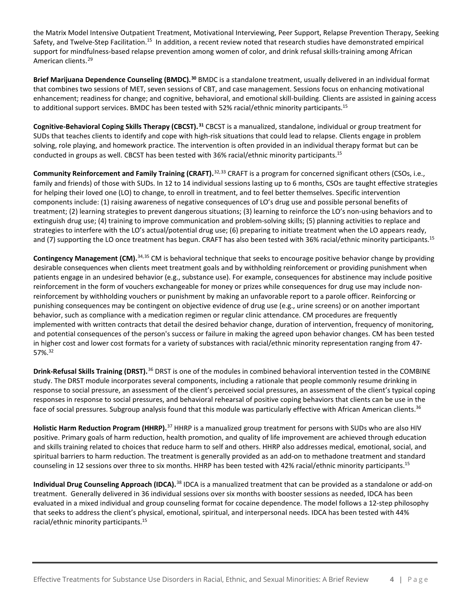the Matrix Model Intensive Outpatient Treatment, Motivational Interviewing, Peer Support, Relapse Prevention Therapy, Seeking Safety, and Twelve-Step Facilitation.<sup>15</sup> In addition, a recent review noted that research studies have demonstrated empirical support for mindfulness-based relapse prevention among women of color, and drink refusal skills-training among African American clients.<sup>[29](#page-12-0)</sup>

**Brief Marijuana Dependence Counseling (BMDC).[30](#page-12-1)** BMDC is a standalone treatment, usually delivered in an individual format that combines two sessions of MET, seven sessions of CBT, and case management. Sessions focus on enhancing motivational enhancement; readiness for change; and cognitive, behavioral, and emotional skill-building. Clients are assisted in gaining access to additional support services. BMDC has been tested with 52% racial/ethnic minority participants.<sup>15</sup>

**Cognitive-Behavioral Coping Skills Therapy (CBCST).[31](#page-12-2)** CBCST is a manualized, standalone, individual or group treatment for SUDs that teaches clients to identify and cope with high-risk situations that could lead to relapse. Clients engage in problem solving, role playing, and homework practice. The intervention is often provided in an individual therapy format but can be conducted in groups as well. CBCST has been tested with 36% racial/ethnic minority participants[.15](#page-1-4)

<span id="page-3-0"></span>**Community Reinforcement and Family Training (CRAFT).**[32,](#page-12-3)[33](#page-12-4) CRAFT is a program for concerned significant others (CSOs, i.e., family and friends) of those with SUDs. In 12 to 14 individual sessions lasting up to 6 months, CSOs are taught effective strategies for helping their loved one (LO) to change, to enroll in treatment, and to feel better themselves. Specific intervention components include: (1) raising awareness of negative consequences of LO's drug use and possible personal benefits of treatment; (2) learning strategies to prevent dangerous situations; (3) learning to reinforce the LO's non-using behaviors and to extinguish drug use; (4) training to improve communication and problem-solving skills; (5) planning activities to replace and strategies to interfere with the LO's actual/potential drug use; (6) preparing to initiate treatment when the LO appears ready, and (7) supporting the LO once treatment has begun. CRAFT has also been tested with 36% racial/ethnic minority participants.<sup>15</sup>

**Contingency Management (CM).**[34,](#page-12-5)[35](#page-12-6) CM is behavioral technique that seeks to encourage positive behavior change by providing desirable consequences when clients meet treatment goals and by withholding reinforcement or providing punishment when patients engage in an undesired behavior (e.g., substance use). For example, consequences for abstinence may include positive reinforcement in the form of vouchers exchangeable for money or prizes while consequences for drug use may include nonreinforcement by withholding vouchers or punishment by making an unfavorable report to a parole officer. Reinforcing or punishing consequences may be contingent on objective evidence of drug use (e.g., urine screens) or on another important behavior, such as compliance with a medication regimen or regular clinic attendance. CM procedures are frequently implemented with written contracts that detail the desired behavior change, duration of intervention, frequency of monitoring, and potential consequences of the person's success or failure in making the agreed upon behavior changes. CM has been tested in higher cost and lower cost formats for a variety of substances with racial/ethnic minority representation ranging from 47- 57%[.32](#page-3-0)

<span id="page-3-1"></span>**Drink-Refusal Skills Training (DRST).**[36](#page-12-7) DRST is one of the modules in combined behavioral intervention tested in the COMBINE study. The DRST module incorporates several components, including a rationale that people commonly resume drinking in response to social pressure, an assessment of the client's perceived social pressures, an assessment of the client's typical coping responses in response to social pressures, and behavioral rehearsal of positive coping behaviors that clients can be use in the face of social pressures. Subgroup analysis found that this module was particularly effective with African American clients.<sup>36</sup>

**Holistic Harm Reduction Program (HHRP).**[37](#page-12-8) HHRP is a manualized group treatment for persons with SUDs who are also HIV positive. Primary goals of harm reduction, health promotion, and quality of life improvement are achieved through education and skills training related to choices that reduce harm to self and others. HHRP also addresses medical, emotional, social, and spiritual barriers to harm reduction. The treatment is generally provided as an add-on to methadone treatment and standard counseling in 12 sessions over three to six months. HHRP has been tested with 42% racial/ethnic minority participants.<sup>15</sup>

**Individual Drug Counseling Approach (IDCA).**[38](#page-12-9) IDCA is a manualized treatment that can be provided as a standalone or add-on treatment. Generally delivered in 36 individual sessions over six months with booster sessions as needed, IDCA has been evaluated in a mixed individual and group counseling format for cocaine dependence. The model follows a 12-step philosophy that seeks to address the client's physical, emotional, spiritual, and interpersonal needs. IDCA has been tested with 44% racial/ethnic minority participants[.15](#page-1-4)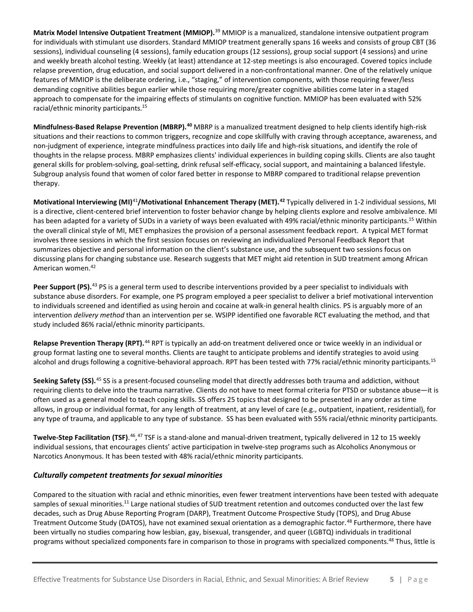**Matrix Model Intensive Outpatient Treatment (MMIOP).**[39](#page-12-10) MMIOP is a manualized, standalone intensive outpatient program for individuals with stimulant use disorders. Standard MMIOP treatment generally spans 16 weeks and consists of group CBT (36 sessions), individual counseling (4 sessions), family education groups (12 sessions), group social support (4 sessions) and urine and weekly breath alcohol testing. Weekly (at least) attendance at 12-step meetings is also encouraged. Covered topics include relapse prevention, drug education, and social support delivered in a non-confrontational manner. One of the relatively unique features of MMIOP is the deliberate ordering, i.e., "staging," of intervention components, with those requiring fewer/less demanding cognitive abilities begun earlier while those requiring more/greater cognitive abilities come later in a staged approach to compensate for the impairing effects of stimulants on cognitive function. MMIOP has been evaluated with 52% racial/ethnic minority participants[.15](#page-1-4)

**Mindfulness-Based Relapse Prevention (MBRP).[40](#page-12-11)** MBRP is a manualized treatment designed to help clients identify high-risk situations and their reactions to common triggers, recognize and cope skillfully with craving through acceptance, awareness, and non-judgment of experience, integrate mindfulness practices into daily life and high-risk situations, and identify the role of thoughts in the relapse process. MBRP emphasizes clients' individual experiences in building coping skills. Clients are also taught general skills for problem-solving, goal-setting, drink refusal self-efficacy, social support, and maintaining a balanced lifestyle. Subgroup analysis found that women of color fared better in response to MBRP compared to traditional relapse prevention therapy.

<span id="page-4-0"></span>**Motivational Interviewing (MI)**[41](#page-12-12)**/Motivational Enhancement Therapy (MET). [42](#page-12-13)** Typically delivered in 1-2 individual sessions, MI is a directive, client-centered brief intervention to foster behavior change by helping clients explore and resolve ambivalence. MI has been adapted for a variety of SUDs in a variety of ways been evaluated with 49% racial/ethnic minority participants.<sup>15</sup> Within the overall clinical style of MI, MET emphasizes the provision of a personal assessment feedback report. A typical MET format involves three sessions in which the first session focuses on reviewing an individualized Personal Feedback Report that summarizes objective and personal information on the client's substance use, and the subsequent two sessions focus on discussing plans for changing substance use. Research suggests that MET might aid retention in SUD treatment among African American women[.42](#page-4-0)

**Peer Support (PS).**[43](#page-12-14) PS is a general term used to describe interventions provided by a peer specialist to individuals with substance abuse disorders. For example, one PS program employed a peer specialist to deliver a brief motivational intervention to individuals screened and identified as using heroin and cocaine at walk-in general health clinics. PS is arguably more of an intervention *delivery method* than an intervention per se. WSIPP identified one favorable RCT evaluating the method, and that study included 86% racial/ethnic minority participants.

**Relapse Prevention Therapy (RPT).**[44](#page-12-15) RPT is typically an add-on treatment delivered once or twice weekly in an individual or group format lasting one to several months. Clients are taught to anticipate problems and identify strategies to avoid using alcohol and drugs following a cognitive-behavioral approach. RPT has been tested with 77% racial/ethnic minority participants.<sup>15</sup>

**Seeking Safety (SS).**[45](#page-12-16) SS is a present-focused counseling model that directly addresses both trauma and addiction, without requiring clients to delve into the trauma narrative. Clients do not have to meet formal criteria for PTSD or substance abuse—it is often used as a general model to teach coping skills. SS offers 25 topics that designed to be presented in any order as time allows, in group or individual format, for any length of treatment, at any level of care (e.g., outpatient, inpatient, residential), for any type of trauma, and applicable to any type of substance. SS has been evaluated with 55% racial/ethnic minority participants.

**Twelve-Step Facilitation (TSF)**.<sup>[46](#page-12-17),[47](#page-12-18)</sup> TSF is a stand-alone and manual-driven treatment, typically delivered in 12 to 15 weekly individual sessions, that encourages clients' active participation in twelve-step programs such as Alcoholics Anonymous or Narcotics Anonymous. It has been tested with 48% racial/ethnic minority participants.

#### *Culturally competent treatments for sexual minorities*

<span id="page-4-1"></span>Compared to the situation with racial and ethnic minorities, even fewer treatment interventions have been tested with adequate samples of sexual minorities.<sup>11</sup> Large national studies of SUD treatment retention and outcomes conducted over the last few decades, such as Drug Abuse Reporting Program (DARP), Treatment Outcome Prospective Study (TOPS), and Drug Abuse Treatment Outcome Study (DATOS), have not examined sexual orientation as a demographic factor. [48](#page-12-19) Furthermore, there have been virtually no studies comparing how lesbian, gay, bisexual, transgender, and queer (LGBTQ) individuals in traditional programs without specialized components fare in comparison to those in programs with specialized components.<sup>48</sup> Thus, little is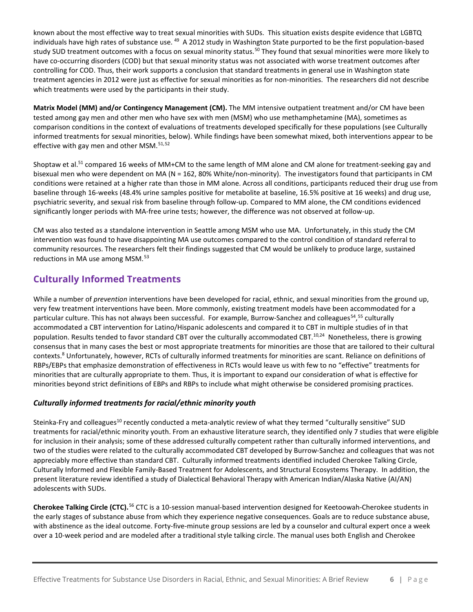<span id="page-5-1"></span>known about the most effective way to treat sexual minorities with SUDs. This situation exists despite evidence that LGBTQ individuals have high rates of substance use. <sup>[49](#page-12-20)</sup> A 2012 study in Washington State purported to be the first population-based study SUD treatment outcomes with a focus on sexual minority status.<sup>[50](#page-12-21)</sup> They found that sexual minorities were more likely to have co-occurring disorders (COD) but that sexual minority status was not associated with worse treatment outcomes after controlling for COD. Thus, their work supports a conclusion that standard treatments in general use in Washington state treatment agencies in 2012 were just as effective for sexual minorities as for non-minorities. The researchers did not describe which treatments were used by the participants in their study.

**Matrix Model (MM) and/or Contingency Management (CM).** The MM intensive outpatient treatment and/or CM have been tested among gay men and other men who have sex with men (MSM) who use methamphetamine (MA), sometimes as comparison conditions in the context of evaluations of treatments developed specifically for these populations (see Culturally informed treatments for sexual minorities, below). While findings have been somewhat mixed, both interventions appear to be effective with gay men and other MSM. $51,52$  $51,52$  $51,52$ 

<span id="page-5-3"></span><span id="page-5-2"></span><span id="page-5-0"></span>Shoptaw et al.<sup>51</sup> compared 16 weeks of MM+CM to the same length of MM alone and CM alone for treatment-seeking gay and bisexual men who were dependent on MA (N = 162, 80% White/non-minority). The investigators found that participants in CM conditions were retained at a higher rate than those in MM alone. Across all conditions, participants reduced their drug use from baseline through 16-weeks (48.4% urine samples positive for metabolite at baseline, 16.5% positive at 16 weeks) and drug use, psychiatric severity, and sexual risk from baseline through follow-up. Compared to MM alone, the CM conditions evidenced significantly longer periods with MA-free urine tests; however, the difference was not observed at follow-up.

CM was also tested as a standalone intervention in Seattle among MSM who use MA. Unfortunately, in this study the CM intervention was found to have disappointing MA use outcomes compared to the control condition of standard referral to community resources. The researchers felt their findings suggested that CM would be unlikely to produce large, sustained reductions in MA use among MSM.<sup>[53](#page-12-24)</sup>

## **Culturally Informed Treatments**

While a number of *prevention* interventions have been developed for racial, ethnic, and sexual minorities from the ground up, very few treatment interventions have been. More commonly, existing treatment models have been accommodated for a particular culture. This has not always been successful. For example, Burrow-Sanchez and colleagues<sup>54</sup>,<sup>[55](#page-12-26)</sup> culturally accommodated a CBT intervention for Latino/Hispanic adolescents and compared it to CBT in multiple studies of in that population. Results tended to favor standard CBT over the culturally accommodated CBT.<sup>10,24</sup> Nonetheless, there is growing consensus that in many cases the best or most appropriate treatments for minorities are those that are tailored to their cultural contexts[.8](#page-0-3) Unfortunately, however, RCTs of culturally informed treatments for minorities are scant. Reliance on definitions of RBPs/EBPs that emphasize demonstration of effectiveness in RCTs would leave us with few to no "effective" treatments for minorities that are culturally appropriate to them. Thus, it is important to expand our consideration of what is effective for minorities beyond strict definitions of EBPs and RBPs to include what might otherwise be considered promising practices.

#### *Culturally informed treatments for racial/ethnic minority youth*

Steinka-Fry and colleagues<sup>10</sup> recently conducted a meta-analytic review of what they termed "culturally sensitive" SUD treatments for racial/ethnic minority youth. From an exhaustive literature search, they identified only 7 studies that were eligible for inclusion in their analysis; some of these addressed culturally competent rather than culturally informed interventions, and two of the studies were related to the culturally accommodated CBT developed by Burrow-Sanchez and colleagues that was not appreciably more effective than standard CBT. Culturally informed treatments identified included Cherokee Talking Circle, Culturally Informed and Flexible Family-Based Treatment for Adolescents, and Structural Ecosystems Therapy. In addition, the present literature review identified a study of Dialectical Behavioral Therapy with American Indian/Alaska Native (AI/AN) adolescents with SUDs.

**Cherokee Talking Circle (CTC).**[56](#page-12-27) CTC is a 10-session manual-based intervention designed for Keetoowah-Cherokee students in the early stages of substance abuse from which they experience negative consequences. Goals are to reduce substance abuse, with abstinence as the ideal outcome. Forty-five-minute group sessions are led by a counselor and cultural expert once a week over a 10-week period and are modeled after a traditional style talking circle. The manual uses both English and Cherokee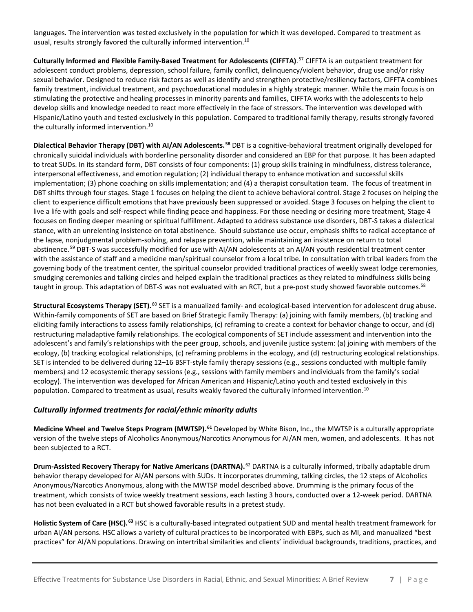languages. The intervention was tested exclusively in the population for which it was developed. Compared to treatment as usual, results strongly favored the culturally informed intervention.<sup>10</sup>

**Culturally Informed and Flexible Family-Based Treatment for Adolescents (CIFFTA)**. [57](#page-12-28) CIFFTA is an outpatient treatment for adolescent conduct problems, depression, school failure, family conflict, delinquency/violent behavior, drug use and/or risky sexual behavior. Designed to reduce risk factors as well as identify and strengthen protective/resiliency factors, CIFFTA combines family treatment, individual treatment, and psychoeducational modules in a highly strategic manner. While the main focus is on stimulating the protective and healing processes in minority parents and families, CIFFTA works with the adolescents to help develop skills and knowledge needed to react more effectively in the face of stressors. The intervention was developed with Hispanic/Latino youth and tested exclusively in this population. Compared to traditional family therapy, results strongly favored the culturally informed intervention.<sup>10</sup>

<span id="page-6-0"></span>**Dialectical Behavior Therapy (DBT) with AI/AN Adolescents.[58](#page-12-29)** DBT is a cognitive-behavioral treatment originally developed for chronically suicidal individuals with borderline personality disorder and considered an EBP for that purpose. It has been adapted to treat SUDs. In its standard form, DBT consists of four components: (1) group skills training in mindfulness, distress tolerance, interpersonal effectiveness, and emotion regulation; (2) individual therapy to enhance motivation and successful skills implementation; (3) phone coaching on skills implementation; and (4) a therapist consultation team. The focus of treatment in DBT shifts through four stages. Stage 1 focuses on helping the client to achieve behavioral control. Stage 2 focuses on helping the client to experience difficult emotions that have previously been suppressed or avoided. Stage 3 focuses on helping the client to live a life with goals and self-respect while finding peace and happiness. For those needing or desiring more treatment, Stage 4 focuses on finding deeper meaning or spiritual fulfillment. Adapted to address substance use disorders, DBT-S takes a dialectical stance, with an unrelenting insistence on total abstinence. Should substance use occur, emphasis shifts to radical acceptance of the lapse, nonjudgmental problem-solving, and relapse prevention, while maintaining an insistence on return to total abstinence.<sup>[59](#page-12-30)</sup> DBT-S was successfully modified for use with AI/AN adolescents at an AI/AN youth residential treatment center with the assistance of staff and a medicine man/spiritual counselor from a local tribe. In consultation with tribal leaders from the governing body of the treatment center, the spiritual counselor provided traditional practices of weekly sweat lodge ceremonies, smudging ceremonies and talking circles and helped explain the traditional practices as they related to mindfulness skills being taught in group. This adaptation of DBT-S was not evaluated with an RCT, but a pre-post study showed favorable outcomes.<sup>58</sup>

Structural Ecosystems Therapy (SET).<sup>[60](#page-12-12)</sup> SET is a manualized family- and ecological-based intervention for adolescent drug abuse. Within-family components of SET are based on Brief Strategic Family Therapy: (a) joining with family members, (b) tracking and eliciting family interactions to assess family relationships, (c) reframing to create a context for behavior change to occur, and (d) restructuring maladaptive family relationships. The ecological components of SET include assessment and intervention into the adolescent's and family's relationships with the peer group, schools, and juvenile justice system: (a) joining with members of the ecology, (b) tracking ecological relationships, (c) reframing problems in the ecology, and (d) restructuring ecological relationships. SET is intended to be delivered during 12–16 BSFT-style family therapy sessions (e.g., sessions conducted with multiple family members) and 12 ecosystemic therapy sessions (e.g., sessions with family members and individuals from the family's social ecology). The intervention was developed for African American and Hispanic/Latino youth and tested exclusively in this population. Compared to treatment as usual, results weakly favored the culturally informed intervention.<sup>10</sup>

#### *Culturally informed treatments for racial/ethnic minority adults*

**Medicine Wheel and Twelve Steps Program (MWTSP).[61](#page-12-31)** Developed by White Bison, Inc., the MWTSP is a culturally appropriate version of the twelve steps of Alcoholics Anonymous/Narcotics Anonymous for AI/AN men, women, and adolescents. It has not been subjected to a RCT.

**Drum-Assisted Recovery Therapy for Native Americans (DARTNA).**[62](#page-12-32) DARTNA is a culturally informed, tribally adaptable drum behavior therapy developed for AI/AN persons with SUDs. It incorporates drumming, talking circles, the 12 steps of Alcoholics Anonymous/Narcotics Anonymous, along with the MWTSP model described above. Drumming is the primary focus of the treatment, which consists of twice weekly treatment sessions, each lasting 3 hours, conducted over a 12-week period. DARTNA has not been evaluated in a RCT but showed favorable results in a pretest study.

**Holistic System of Care (HSC).[63](#page-12-33)** HSC is a culturally-based integrated outpatient SUD and mental health treatment framework for urban AI/AN persons. HSC allows a variety of cultural practices to be incorporated with EBPs, such as MI, and manualized "best practices" for AI/AN populations. Drawing on intertribal similarities and clients' individual backgrounds, traditions, practices, and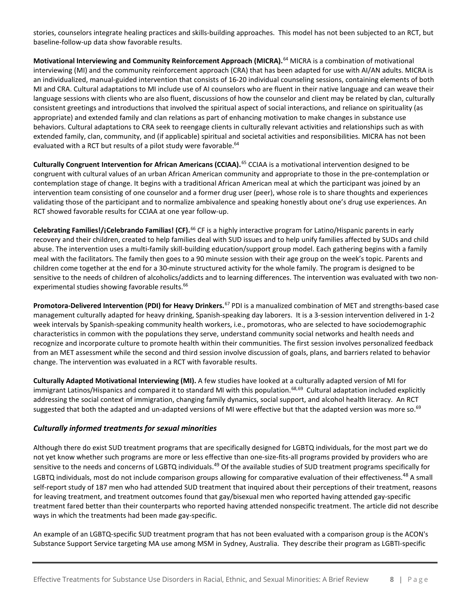stories, counselors integrate healing practices and skills-building approaches. This model has not been subjected to an RCT, but baseline-follow-up data show favorable results.

<span id="page-7-0"></span>**Motivational Interviewing and Community Reinforcement Approach (MICRA).**[64](#page-12-34) MICRA is a combination of motivational interviewing (MI) and the community reinforcement approach (CRA) that has been adapted for use with AI/AN adults. MICRA is an individualized, manual-guided intervention that consists of 16-20 individual counseling sessions, containing elements of both MI and CRA. Cultural adaptations to MI include use of AI counselors who are fluent in their native language and can weave their language sessions with clients who are also fluent, discussions of how the counselor and client may be related by clan, culturally consistent greetings and introductions that involved the spiritual aspect of social interactions, and reliance on spirituality (as appropriate) and extended family and clan relations as part of enhancing motivation to make changes in substance use behaviors. Cultural adaptations to CRA seek to reengage clients in culturally relevant activities and relationships such as with extended family, clan, community, and (if applicable) spiritual and societal activities and responsibilities. MICRA has not been evaluated with a RCT but results of a pilot study were favorable.<sup>64</sup>

**Culturally Congruent Intervention for African Americans (CCIAA).**[65](#page-12-35) CCIAA is a motivational intervention designed to be congruent with cultural values of an urban African American community and appropriate to those in the pre-contemplation or contemplation stage of change. It begins with a traditional African American meal at which the participant was joined by an intervention team consisting of one counselor and a former drug user (peer), whose role is to share thoughts and experiences validating those of the participant and to normalize ambivalence and speaking honestly about one's drug use experiences. An RCT showed favorable results for CCIAA at one year follow-up.

<span id="page-7-1"></span>**Celebrating Families!/¡Celebrando Familias! (CF).**[66](#page-12-36) CF is a highly interactive program for Latino/Hispanic parents in early recovery and their children, created to help families deal with SUD issues and to help unify families affected by SUDs and child abuse. The intervention uses a multi-family skill-building education/support group model. Each gathering begins with a family meal with the facilitators. The family then goes to a 90 minute session with their age group on the week's topic. Parents and children come together at the end for a 30-minute structured activity for the whole family. The program is designed to be sensitive to the needs of children of alcoholics/addicts and to learning differences. The intervention was evaluated with two nonexperimental studies showing favorable results.<sup>66</sup>

**Promotora-Delivered Intervention (PDI) for Heavy Drinkers.**[67](#page-12-37) PDI is a manualized combination of MET and strengths-based case management culturally adapted for heavy drinking, Spanish-speaking day laborers. It is a 3-session intervention delivered in 1-2 week intervals by Spanish-speaking community health workers, i.e., promotoras, who are selected to have sociodemographic characteristics in common with the populations they serve, understand community social networks and health needs and recognize and incorporate culture to promote health within their communities. The first session involves personalized feedback from an MET assessment while the second and third session involve discussion of goals, plans, and barriers related to behavior change. The intervention was evaluated in a RCT with favorable results.

<span id="page-7-2"></span>**Culturally Adapted Motivational Interviewing (MI).** A few studies have looked at a culturally adapted version of MI for immigrant Latinos/Hispanics and compared it to standard MI with this population.<sup>[68,](#page-12-38)[69](#page-12-39)</sup> Cultural adaptation included explicitly addressing the social context of immigration, changing family dynamics, social support, and alcohol health literacy. An RCT suggested that both the adapted and un-adapted versions of MI were effective but that the adapted version was more so.<sup>69</sup>

#### *Culturally informed treatments for sexual minorities*

Although there do exist SUD treatment programs that are specifically designed for LGBTQ individuals, for the most part we do not yet know whether such programs are more or less effective than one-size-fits-all programs provided by providers who are sensitive to the needs and concerns of LGBTQ individuals.<sup>[49](#page-5-1)</sup> Of the available studies of SUD treatment programs specifically for LGBTQ individuals, most do not include comparison groups allowing for comparative evaluation of their effectiveness.<sup>[48](#page-4-1)</sup> A small self-report study of 187 men who had attended SUD treatment that inquired about their perceptions of their treatment, reasons for leaving treatment, and treatment outcomes found that gay/bisexual men who reported having attended gay-specific treatment fared better than their counterparts who reported having attended nonspecific treatment. The article did not describe ways in which the treatments had been made gay-specific.

An example of an LGBTQ-specific SUD treatment program that has not been evaluated with a comparison group is the ACON's Substance Support Service targeting MA use among MSM in Sydney, Australia. They describe their program as LGBTI-specific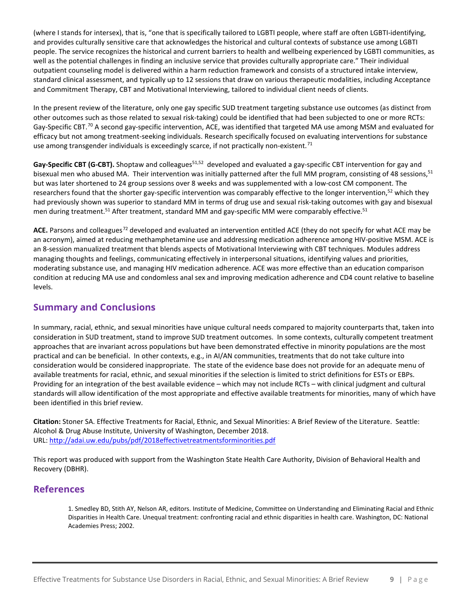(where I stands for intersex), that is, "one that is specifically tailored to LGBTI people, where staff are often LGBTI-identifying, and provides culturally sensitive care that acknowledges the historical and cultural contexts of substance use among LGBTI people. The service recognizes the historical and current barriers to health and wellbeing experienced by LGBTI communities, as well as the potential challenges in finding an inclusive service that provides culturally appropriate care." Their individual outpatient counseling model is delivered within a harm reduction framework and consists of a structured intake interview, standard clinical assessment, and typically up to 12 sessions that draw on various therapeutic modalities, including Acceptance and Commitment Therapy, CBT and Motivational Interviewing, tailored to individual client needs of clients.

In the present review of the literature, only one gay specific SUD treatment targeting substance use outcomes (as distinct from other outcomes such as those related to sexual risk-taking) could be identified that had been subjected to one or more RCTs: Gay-Specific CBT.<sup>[70](#page-12-3)</sup> A second gay-specific intervention, ACE, was identified that targeted MA use among MSM and evaluated for efficacy but not among treatment-seeking individuals. Research specifically focused on evaluating interventions for substance use among transgender individuals is exceedingly scarce, if not practically non-existent.<sup>[71](#page-12-40)</sup>

Gay-Specific CBT (G-CBT). Shoptaw and colleagues<sup>51,[52](#page-5-2)</sup> developed and evaluated a gay-specific CBT intervention for gay and bisexual men who abused MA. Their intervention was initially patterned after the full MM program, consisting of 48 sessions,<sup>51</sup> but was later shortened to 24 group sessions over 8 weeks and was supplemented with a low-cost CM component. The researchers found that the shorter gay-specific intervention was comparably effective to the longer intervention,<sup>52</sup> which they had previously shown was superior to standard MM in terms of drug use and sexual risk-taking outcomes with gay and bisexual men during treatment.<sup>51</sup> After treatment, standard MM and gay-specific MM were comparably effective.<sup>51</sup>

ACE. Parsons and colleagues<sup>[72](#page-12-41)</sup> developed and evaluated an intervention entitled ACE (they do not specify for what ACE may be an acronym), aimed at reducing methamphetamine use and addressing medication adherence among HIV-positive MSM. ACE is an 8-session manualized treatment that blends aspects of Motivational Interviewing with CBT techniques. Modules address managing thoughts and feelings, communicating effectively in interpersonal situations, identifying values and priorities, moderating substance use, and managing HIV medication adherence. ACE was more effective than an education comparison condition at reducing MA use and condomless anal sex and improving medication adherence and CD4 count relative to baseline levels.

### **Summary and Conclusions**

In summary, racial, ethnic, and sexual minorities have unique cultural needs compared to majority counterparts that, taken into consideration in SUD treatment, stand to improve SUD treatment outcomes. In some contexts, culturally competent treatment approaches that are invariant across populations but have been demonstrated effective in minority populations are the most practical and can be beneficial. In other contexts, e.g., in AI/AN communities, treatments that do not take culture into consideration would be considered inappropriate. The state of the evidence base does not provide for an adequate menu of available treatments for racial, ethnic, and sexual minorities if the selection is limited to strict definitions for ESTs or EBPs. Providing for an integration of the best available evidence – which may not include RCTs – with clinical judgment and cultural standards will allow identification of the most appropriate and effective available treatments for minorities, many of which have been identified in this brief review.

**Citation:** Stoner SA. Effective Treatments for Racial, Ethnic, and Sexual Minorities: A Brief Review of the Literature. Seattle: Alcohol & Drug Abuse Institute, University of Washington, December 2018. URL:<http://adai.uw.edu/pubs/pdf/2018effectivetreatmentsforminorities.pdf>

This report was produced with support from the Washington State Health Care Authority, Division of Behavioral Health and Recovery (DBHR).

### **References**

1. Smedley BD, Stith AY, Nelson AR, editors. Institute of Medicine, Committee on Understanding and Eliminating Racial and Ethnic Disparities in Health Care. Unequal treatment: confronting racial and ethnic disparities in health care. Washington, DC: National Academies Press; 2002.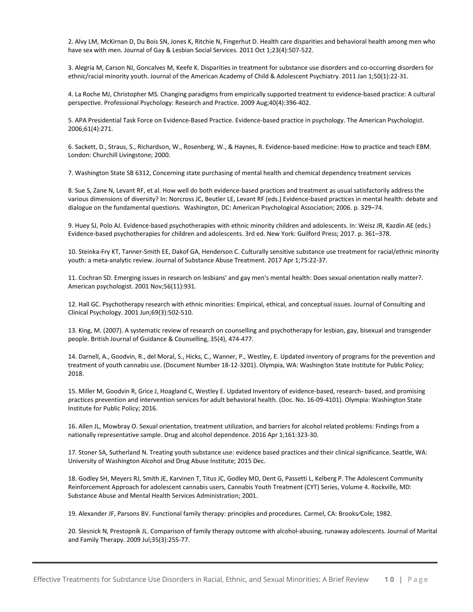<span id="page-9-1"></span>2. Alvy LM, McKirnan D, Du Bois SN, Jones K, Ritchie N, Fingerhut D. Health care disparities and behavioral health among men who have sex with men. Journal of Gay & Lesbian Social Services. 2011 Oct 1;23(4):507-522.

<span id="page-9-2"></span>3. Alegria M, Carson NJ, Goncalves M, Keefe K. Disparities in treatment for substance use disorders and co-occurring disorders for ethnic/racial minority youth. Journal of the American Academy of Child & Adolescent Psychiatry. 2011 Jan 1;50(1):22-31.

<span id="page-9-3"></span>4. La Roche MJ, Christopher MS. Changing paradigms from empirically supported treatment to evidence-based practice: A cultural perspective. Professional Psychology: Research and Practice. 2009 Aug;40(4):396-402.

<span id="page-9-4"></span>5. APA Presidential Task Force on Evidence-Based Practice. Evidence-based practice in psychology. The American Psychologist. 2006;61(4):271.

<span id="page-9-5"></span>6. Sackett, D., Straus, S., Richardson, W., Rosenberg, W., & Haynes, R. Evidence-based medicine: How to practice and teach EBM. London: Churchill Livingstone; 2000.

<span id="page-9-6"></span>7. Washington State SB 6312, Concerning state purchasing of mental health and chemical dependency treatment services

<span id="page-9-7"></span>8. Sue S, Zane N, Levant RF, et al. How well do both evidence-based practices and treatment as usual satisfactorily address the various dimensions of diversity? In: Norcross JC, Beutler LE, Levant RF (eds.) Evidence-based practices in mental health: debate and dialogue on the fundamental questions. Washington, DC: American Psychological Association; 2006. p. 329–74.

<span id="page-9-8"></span>9. Huey SJ, Polo AJ. Evidence-based psychotherapies with ethnic minority children and adolescents. In: Weisz JR, Kazdin AE (eds.) Evidence-based psychotherapies for children and adolescents. 3rd ed. New York: Guilford Press; 2017. p. 361–378.

10. Steinka-Fry KT, Tanner-Smith EE, Dakof GA, Henderson C. Culturally sensitive substance use treatment for racial/ethnic minority youth: a meta-analytic review. Journal of Substance Abuse Treatment. 2017 Apr 1;75:22-37.

11. Cochran SD. Emerging issues in research on lesbians' and gay men's mental health: Does sexual orientation really matter?. American psychologist. 2001 Nov;56(11):931.

12. Hall GC. Psychotherapy research with ethnic minorities: Empirical, ethical, and conceptual issues. Journal of Consulting and Clinical Psychology. 2001 Jun;69(3):502-510.

13. King, M. (2007). A systematic review of research on counselling and psychotherapy for lesbian, gay, bisexual and transgender people. British Journal of Guidance & Counselling, 35(4), 474-477.

14. Darnell, A., Goodvin, R., del Moral, S., Hicks, C., Wanner, P., Westley, E. Updated inventory of programs for the prevention and treatment of youth cannabis use. (Document Number 18-12-3201). Olympia, WA: Washington State Institute for Public Policy; 2018.

15. Miller M, Goodvin R, Grice J, Hoagland C, Westley E. Updated Inventory of evidence-based, research- based, and promising practices prevention and intervention services for adult behavioral health. (Doc. No. 16-09-4101). Olympia: Washington State Institute for Public Policy; 2016.

16. Allen JL, Mowbray O. Sexual orientation, treatment utilization, and barriers for alcohol related problems: Findings from a nationally representative sample. Drug and alcohol dependence. 2016 Apr 1;161:323-30.

17. Stoner SA, Sutherland N. Treating youth substance use: evidence based practices and their clinical significance. Seattle, WA: University of Washington Alcohol and Drug Abuse Institute; 2015 Dec.

18. Godley SH, Meyers RJ, Smith JE, Karvinen T, Titus JC, Godley MD, Dent G, Passetti L, Kelberg P. The Adolescent Community Reinforcement Approach for adolescent cannabis users, Cannabis Youth Treatment (CYT) Series, Volume 4. Rockville, MD: Substance Abuse and Mental Health Services Administration; 2001.

<span id="page-9-0"></span>19. Alexander JF, Parsons BV. Functional family therapy: principles and procedures. Carmel, CA: Brooks⁄Cole; 1982.

20. Slesnick N, Prestopnik JL. Comparison of family therapy outcome with alcohol-abusing, runaway adolescents. Journal of Marital and Family Therapy. 2009 Jul;35(3):255-77.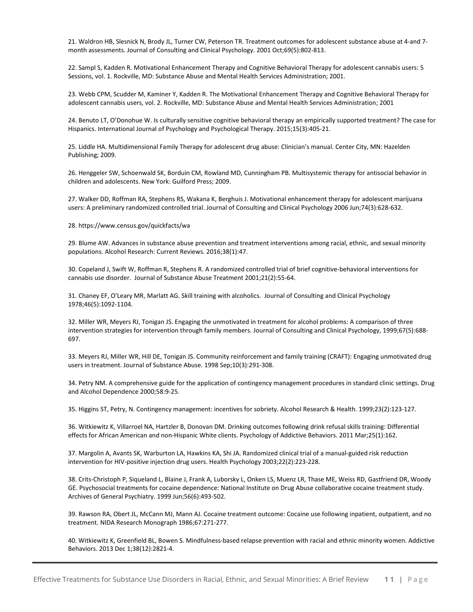21. Waldron HB, Slesnick N, Brody JL, Turner CW, Peterson TR. Treatment outcomes for adolescent substance abuse at 4-and 7 month assessments. Journal of Consulting and Clinical Psychology. 2001 Oct;69(5):802-813.

22. Sampl S, Kadden R. Motivational Enhancement Therapy and Cognitive Behavioral Therapy for adolescent cannabis users: 5 Sessions, vol. 1. Rockville, MD: Substance Abuse and Mental Health Services Administration; 2001.

23. Webb CPM, Scudder M, Kaminer Y, Kadden R. The Motivational Enhancement Therapy and Cognitive Behavioral Therapy for adolescent cannabis users, vol. 2. Rockville, MD: Substance Abuse and Mental Health Services Administration; 2001

24. Benuto LT, O'Donohue W. Is culturally sensitive cognitive behavioral therapy an empirically supported treatment? The case for Hispanics. International Journal of Psychology and Psychological Therapy. 2015;15(3):405-21.

25. Liddle HA. Multidimensional Family Therapy for adolescent drug abuse: Clinician's manual. Center City, MN: Hazelden Publishing; 2009.

26. Henggeler SW, Schoenwald SK, Borduin CM, Rowland MD, Cunningham PB. Multisystemic therapy for antisocial behavior in children and adolescents. New York: Guilford Press; 2009.

27. Walker DD, Roffman RA, Stephens RS, Wakana K, Berghuis J. Motivational enhancement therapy for adolescent marijuana users: A preliminary randomized controlled trial. Journal of Consulting and Clinical Psychology 2006 Jun;74(3):628-632.

#### 28. https://www.census.gov/quickfacts/wa

<span id="page-10-0"></span>29. Blume AW. Advances in substance abuse prevention and treatment interventions among racial, ethnic, and sexual minority populations. Alcohol Research: Current Reviews. 2016;38(1):47.

<span id="page-10-1"></span>30. Copeland J, Swift W, Roffman R, Stephens R. A randomized controlled trial of brief cognitive-behavioral interventions for cannabis use disorder. Journal of Substance Abuse Treatment 2001;21(2):55-64.

<span id="page-10-2"></span>31. Chaney EF, O'Leary MR, Marlatt AG. Skill training with alcoholics. Journal of Consulting and Clinical Psychology 1978;46(5):1092-1104.

<span id="page-10-3"></span>32. Miller WR, Meyers RJ, Tonigan JS. Engaging the unmotivated in treatment for alcohol problems: A comparison of three intervention strategies for intervention through family members. Journal of Consulting and Clinical Psychology, 1999;67(5):688- 697.

<span id="page-10-4"></span>33. Meyers RJ, Miller WR, Hill DE, Tonigan JS. Community reinforcement and family training (CRAFT): Engaging unmotivated drug users in treatment. Journal of Substance Abuse. 1998 Sep;10(3):291-308.

<span id="page-10-5"></span>34. Petry NM. A comprehensive guide for the application of contingency management procedures in standard clinic settings. Drug and Alcohol Dependence 2000;58:9-25.

35. Higgins ST, Petry, N. Contingency management: incentives for sobriety. Alcohol Research & Health. 1999;23(2):123-127.

<span id="page-10-6"></span>36. Witkiewitz K, Villarroel NA, Hartzler B, Donovan DM. Drinking outcomes following drink refusal skills training: Differential effects for African American and non-Hispanic White clients. Psychology of Addictive Behaviors. 2011 Mar;25(1):162.

<span id="page-10-7"></span>37. Margolin A, Avants SK, Warburton LA, Hawkins KA, Shi JA. Randomized clinical trial of a manual-guided risk reduction intervention for HIV-positive injection drug users. Health Psychology 2003;22(2):223-228.

<span id="page-10-8"></span>38. Crits-Christoph P, Siqueland L, Blaine J, Frank A, Luborsky L, Onken LS, Muenz LR, Thase ME, Weiss RD, Gastfriend DR, Woody GE. Psychosocial treatments for cocaine dependence: National Institute on Drug Abuse collaborative cocaine treatment study. Archives of General Psychiatry. 1999 Jun;56(6):493-502.

<span id="page-10-9"></span>39. Rawson RA, Obert JL, McCann MJ, Mann AJ. Cocaine treatment outcome: Cocaine use following inpatient, outpatient, and no treatment. NIDA Research Monograph 1986;67:271-277.

40. Witkiewitz K, Greenfield BL, Bowen S. Mindfulness-based relapse prevention with racial and ethnic minority women. Addictive Behaviors. 2013 Dec 1;38(12):2821-4.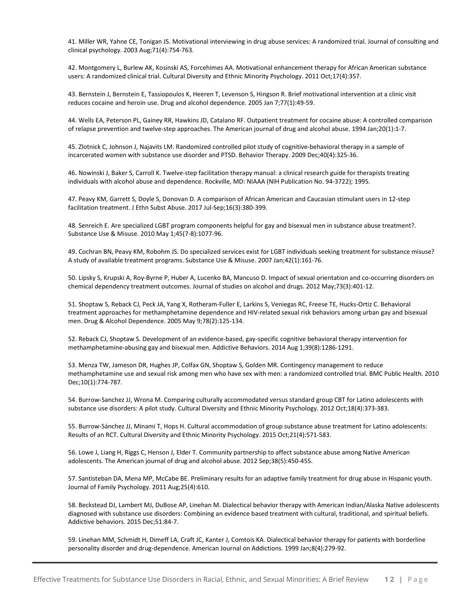<span id="page-11-1"></span>41. Miller WR, Yahne CE, Tonigan JS. Motivational interviewing in drug abuse services: A randomized trial. Journal of consulting and clinical psychology. 2003 Aug;71(4):754-763.

<span id="page-11-2"></span>42. Montgomery L, Burlew AK, Kosinski AS, Forcehimes AA. Motivational enhancement therapy for African American substance users: A randomized clinical trial. Cultural Diversity and Ethnic Minority Psychology. 2011 Oct;17(4):357.

<span id="page-11-3"></span>43. Bernstein J, Bernstein E, Tassiopoulos K, Heeren T, Levenson S, Hingson R. Brief motivational intervention at a clinic visit reduces cocaine and heroin use. Drug and alcohol dependence. 2005 Jan 7;77(1):49-59.

<span id="page-11-4"></span>44. Wells EA, Peterson PL, Gainey RR, Hawkins JD, Catalano RF. Outpatient treatment for cocaine abuse: A controlled comparison of relapse prevention and twelve-step approaches. The American journal of drug and alcohol abuse. 1994 Jan;20(1):1-7.

<span id="page-11-5"></span>45. Zlotnick C, Johnson J, Najavits LM. Randomized controlled pilot study of cognitive-behavioral therapy in a sample of incarcerated women with substance use disorder and PTSD. Behavior Therapy. 2009 Dec;40(4):325-36.

<span id="page-11-6"></span>46. Nowinski J, Baker S, Carroll K. Twelve-step facilitation therapy manual: a clinical research guide for therapists treating individuals with alcohol abuse and dependence. Rockville, MD: NIAAA (NIH Publication No. 94-3722); 1995.

<span id="page-11-7"></span>47. Peavy KM, Garrett S, Doyle S, Donovan D. A comparison of African American and Caucasian stimulant users in 12-step facilitation treatment. J Ethn Subst Abuse. 2017 Jul-Sep;16(3):380-399.

<span id="page-11-8"></span>48. Senreich E. Are specialized LGBT program components helpful for gay and bisexual men in substance abuse treatment?. Substance Use & Misuse. 2010 May 1;45(7-8):1077-96.

49. Cochran BN, Peavy KM, Robohm JS. Do specialized services exist for LGBT individuals seeking treatment for substance misuse? A study of available treatment programs. Substance Use & Misuse. 2007 Jan;42(1):161-76.

50. Lipsky S, Krupski A, Roy-Byrne P, Huber A, Lucenko BA, Mancuso D. Impact of sexual orientation and co-occurring disorders on chemical dependency treatment outcomes. Journal of studies on alcohol and drugs. 2012 May;73(3):401-12.

51. Shoptaw S, Reback CJ, Peck JA, Yang X, Rotheram-Fuller E, Larkins S, Veniegas RC, Freese TE, Hucks-Ortiz C. Behavioral treatment approaches for methamphetamine dependence and HIV-related sexual risk behaviors among urban gay and bisexual men. Drug & Alcohol Dependence. 2005 May 9;78(2):125-134.

52. Reback CJ, Shoptaw S. Development of an evidence-based, gay-specific cognitive behavioral therapy intervention for methamphetamine-abusing gay and bisexual men. Addictive Behaviors. 2014 Aug 1;39(8):1286-1291.

53. Menza TW, Jameson DR, Hughes JP, Colfax GN, Shoptaw S, Golden MR. Contingency management to reduce methamphetamine use and sexual risk among men who have sex with men: a randomized controlled trial. BMC Public Health. 2010 Dec;10(1):774-787.

54. Burrow-Sanchez JJ, Wrona M. Comparing culturally accommodated versus standard group CBT for Latino adolescents with substance use disorders: A pilot study. Cultural Diversity and Ethnic Minority Psychology. 2012 Oct;18(4):373-383.

55. Burrow-Sánchez JJ, Minami T, Hops H. Cultural accommodation of group substance abuse treatment for Latino adolescents: Results of an RCT. Cultural Diversity and Ethnic Minority Psychology. 2015 Oct;21(4):571-583.

56. Lowe J, Liang H, Riggs C, Henson J, Elder T. Community partnership to affect substance abuse among Native American adolescents. The American journal of drug and alcohol abuse. 2012 Sep;38(5):450-455.

57. Santisteban DA, Mena MP, McCabe BE. Preliminary results for an adaptive family treatment for drug abuse in Hispanic youth. Journal of Family Psychology. 2011 Aug;25(4):610.

58. Beckstead DJ, Lambert MJ, DuBose AP, Linehan M. Dialectical behavior therapy with American Indian/Alaska Native adolescents diagnosed with substance use disorders: Combining an evidence based treatment with cultural, traditional, and spiritual beliefs. Addictive behaviors. 2015 Dec;51:84-7.

<span id="page-11-0"></span>59. Linehan MM, Schmidt H, Dimeff LA, Craft JC, Kanter J, Comtois KA. Dialectical behavior therapy for patients with borderline personality disorder and drug-dependence. American Journal on Addictions. 1999 Jan;8(4):279-92.